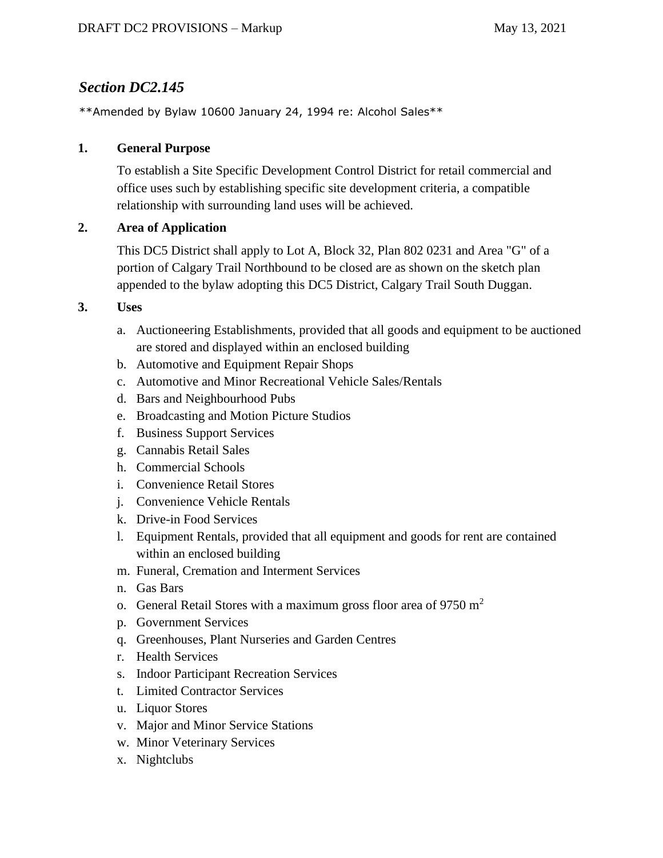# *Section DC2.145*

\*\*Amended by Bylaw 10600 January 24, 1994 re: Alcohol Sales\*\*

#### **1. General Purpose**

To establish a Site Specific Development Control District for retail commercial and office uses such by establishing specific site development criteria, a compatible relationship with surrounding land uses will be achieved.

## **2. Area of Application**

This DC5 District shall apply to Lot A, Block 32, Plan 802 0231 and Area "G" of a portion of Calgary Trail Northbound to be closed are as shown on the sketch plan appended to the bylaw adopting this DC5 District, Calgary Trail South Duggan.

- **3. Uses**
	- a. Auctioneering Establishments, provided that all goods and equipment to be auctioned are stored and displayed within an enclosed building
	- b. Automotive and Equipment Repair Shops
	- c. Automotive and Minor Recreational Vehicle Sales/Rentals
	- d. Bars and Neighbourhood Pubs
	- e. Broadcasting and Motion Picture Studios
	- f. Business Support Services
	- g. Cannabis Retail Sales
	- h. Commercial Schools
	- i. Convenience Retail Stores
	- j. Convenience Vehicle Rentals
	- k. Drive-in Food Services
	- l. Equipment Rentals, provided that all equipment and goods for rent are contained within an enclosed building
	- m. Funeral, Cremation and Interment Services
	- n. Gas Bars
	- o. General Retail Stores with a maximum gross floor area of  $9750 \text{ m}^2$
	- p. Government Services
	- q. Greenhouses, Plant Nurseries and Garden Centres
	- r. Health Services
	- s. Indoor Participant Recreation Services
	- t. Limited Contractor Services
	- u. Liquor Stores
	- v. Major and Minor Service Stations
	- w. Minor Veterinary Services
	- x. Nightclubs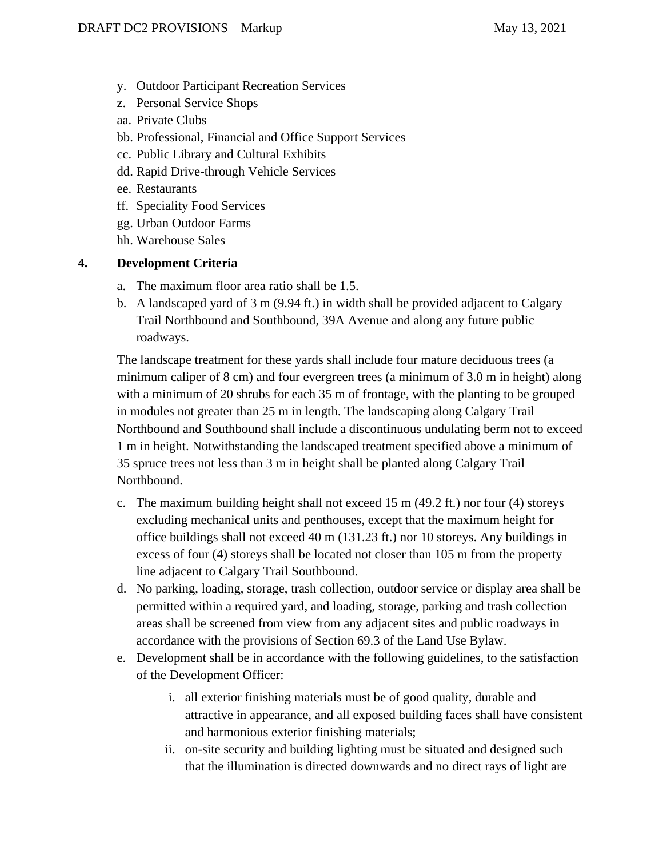- y. Outdoor Participant Recreation Services
- z. Personal Service Shops
- aa. Private Clubs
- bb. Professional, Financial and Office Support Services
- cc. Public Library and Cultural Exhibits
- dd. Rapid Drive-through Vehicle Services
- ee. Restaurants
- ff. Speciality Food Services
- gg. Urban Outdoor Farms
- hh. Warehouse Sales

## **4. Development Criteria**

- a. The maximum floor area ratio shall be 1.5.
- b. A landscaped yard of 3 m (9.94 ft.) in width shall be provided adjacent to Calgary Trail Northbound and Southbound, 39A Avenue and along any future public roadways.

The landscape treatment for these yards shall include four mature deciduous trees (a minimum caliper of 8 cm) and four evergreen trees (a minimum of 3.0 m in height) along with a minimum of 20 shrubs for each 35 m of frontage, with the planting to be grouped in modules not greater than 25 m in length. The landscaping along Calgary Trail Northbound and Southbound shall include a discontinuous undulating berm not to exceed 1 m in height. Notwithstanding the landscaped treatment specified above a minimum of 35 spruce trees not less than 3 m in height shall be planted along Calgary Trail Northbound.

- c. The maximum building height shall not exceed 15 m (49.2 ft.) nor four (4) storeys excluding mechanical units and penthouses, except that the maximum height for office buildings shall not exceed 40 m (131.23 ft.) nor 10 storeys. Any buildings in excess of four (4) storeys shall be located not closer than 105 m from the property line adjacent to Calgary Trail Southbound.
- d. No parking, loading, storage, trash collection, outdoor service or display area shall be permitted within a required yard, and loading, storage, parking and trash collection areas shall be screened from view from any adjacent sites and public roadways in accordance with the provisions of Section 69.3 of the Land Use Bylaw.
- e. Development shall be in accordance with the following guidelines, to the satisfaction of the Development Officer:
	- i. all exterior finishing materials must be of good quality, durable and attractive in appearance, and all exposed building faces shall have consistent and harmonious exterior finishing materials;
	- ii. on-site security and building lighting must be situated and designed such that the illumination is directed downwards and no direct rays of light are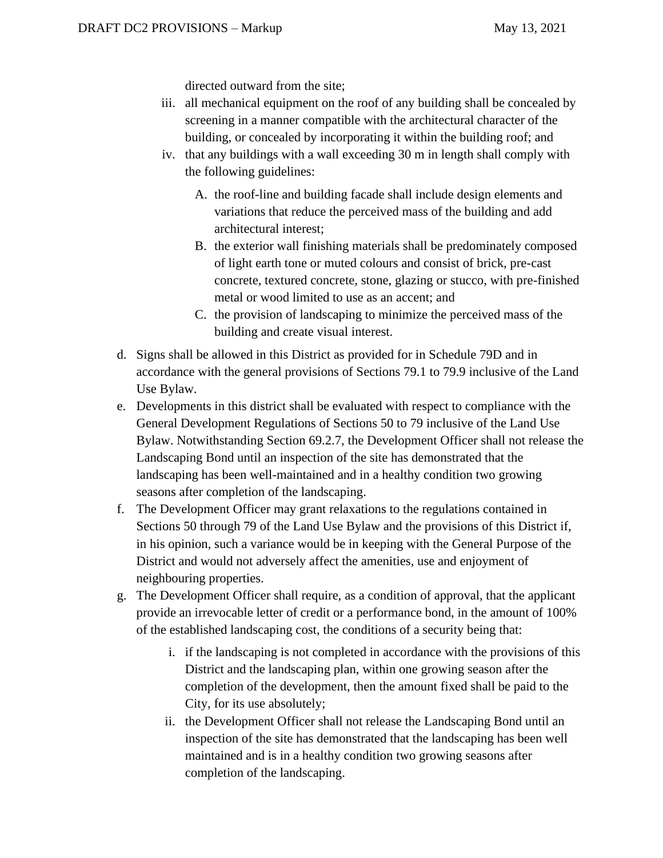directed outward from the site;

- iii. all mechanical equipment on the roof of any building shall be concealed by screening in a manner compatible with the architectural character of the building, or concealed by incorporating it within the building roof; and
- iv. that any buildings with a wall exceeding 30 m in length shall comply with the following guidelines:
	- A. the roof-line and building facade shall include design elements and variations that reduce the perceived mass of the building and add architectural interest;
	- B. the exterior wall finishing materials shall be predominately composed of light earth tone or muted colours and consist of brick, pre-cast concrete, textured concrete, stone, glazing or stucco, with pre-finished metal or wood limited to use as an accent; and
	- C. the provision of landscaping to minimize the perceived mass of the building and create visual interest.
- d. Signs shall be allowed in this District as provided for in Schedule 79D and in accordance with the general provisions of Sections 79.1 to 79.9 inclusive of the Land Use Bylaw.
- e. Developments in this district shall be evaluated with respect to compliance with the General Development Regulations of Sections 50 to 79 inclusive of the Land Use Bylaw. Notwithstanding Section 69.2.7, the Development Officer shall not release the Landscaping Bond until an inspection of the site has demonstrated that the landscaping has been well-maintained and in a healthy condition two growing seasons after completion of the landscaping.
- f. The Development Officer may grant relaxations to the regulations contained in Sections 50 through 79 of the Land Use Bylaw and the provisions of this District if, in his opinion, such a variance would be in keeping with the General Purpose of the District and would not adversely affect the amenities, use and enjoyment of neighbouring properties.
- g. The Development Officer shall require, as a condition of approval, that the applicant provide an irrevocable letter of credit or a performance bond, in the amount of 100% of the established landscaping cost, the conditions of a security being that:
	- i. if the landscaping is not completed in accordance with the provisions of this District and the landscaping plan, within one growing season after the completion of the development, then the amount fixed shall be paid to the City, for its use absolutely;
	- ii. the Development Officer shall not release the Landscaping Bond until an inspection of the site has demonstrated that the landscaping has been well maintained and is in a healthy condition two growing seasons after completion of the landscaping.